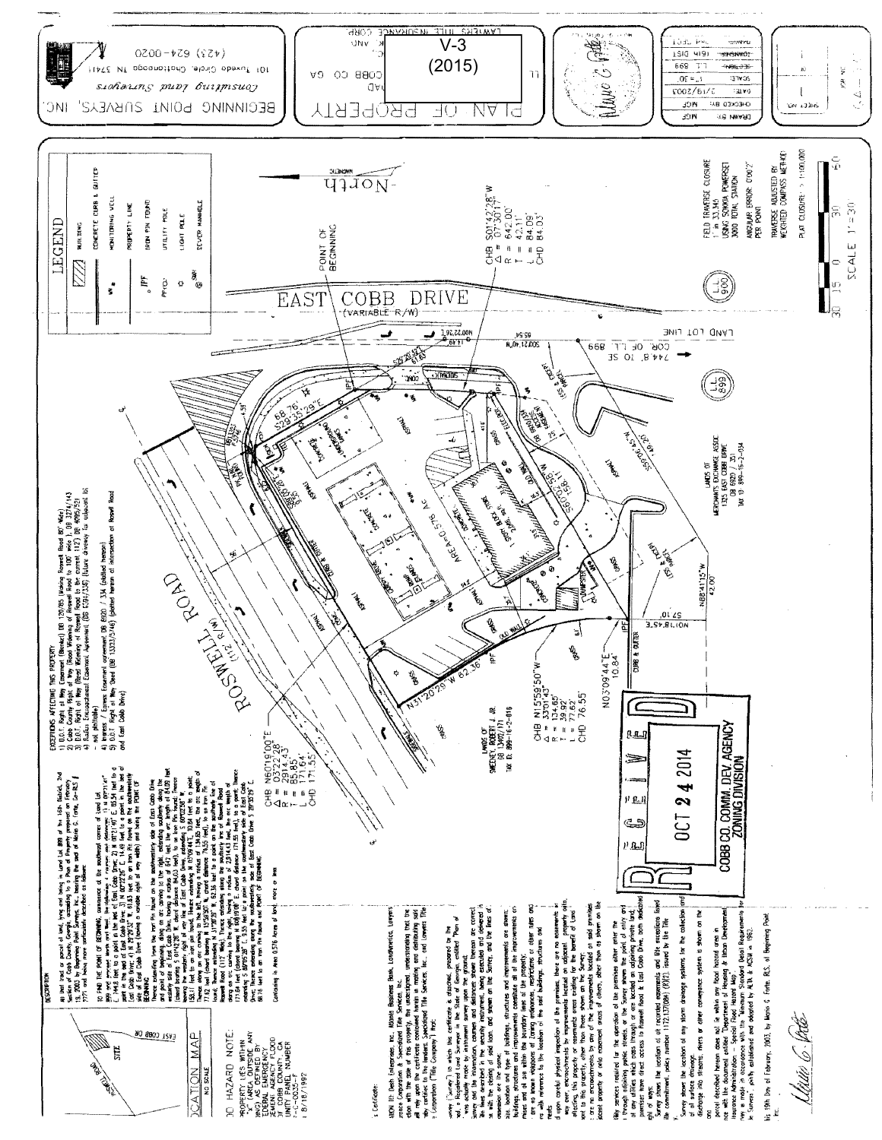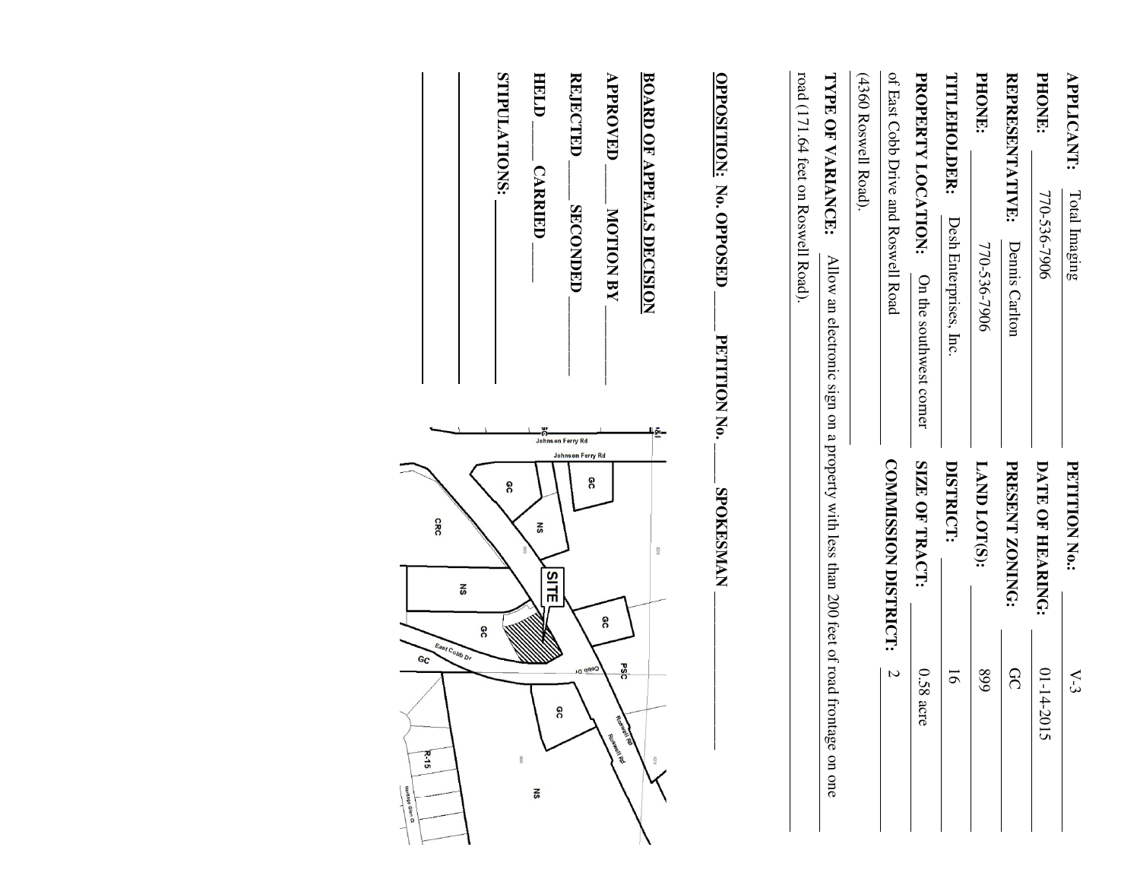| APPLICANT:<br>Total Imaging                                                                                                                 | PETITION No.:                             | $\sum$                                                    |
|---------------------------------------------------------------------------------------------------------------------------------------------|-------------------------------------------|-----------------------------------------------------------|
| <b>PHONE:</b><br>770-536-7906                                                                                                               | DATE OF HEARING:                          | $01 - 14 - 2015$                                          |
| <b>REPRESENTATIVE:</b><br>Dennis Carlton                                                                                                    | PRESENT ZONING:                           | <b>QC</b>                                                 |
| PHONE:<br>770-536-7906                                                                                                                      | LAND LOT(S):                              | 668                                                       |
| TITLEHOLDER:<br>Desh Enterprises, Inc                                                                                                       | DISTRICT:                                 | $\overline{5}$                                            |
| PROPERTY LOCATION:<br>On the southwest corner                                                                                               | SIZE OF TRACT:                            | 0.58<br>ac<br>5                                           |
| of East Cobb Drive and Roswell Road                                                                                                         | COMMISSION DISTRICT:                      | $\mathcal{L}$                                             |
| (4360 Roswell Road)                                                                                                                         |                                           |                                                           |
| TYPE OF VARIANCE:<br>Allow an electronic sign on a property with less than 200 feet of road frontage on one                                 |                                           |                                                           |
| road (171.64 feet on Roswell Road).                                                                                                         |                                           |                                                           |
| OPPOSITION: No. OPPOSED<br>PETITION No.                                                                                                     | <b>SPOKESMAN</b>                          |                                                           |
| <b>APPROVED</b><br><b>REJECTED</b><br><b>BOARD OF APPEALS DECISION</b><br><b>SECONDED</b><br><b>MOTION BY</b><br>$-80-$<br>Johnson Ferry Rd | Johnson Ferry Rd<br>႙<br>830<br>SITE<br>႙ | PSC<br>Copp Dr.<br><u>ရွ</u><br>Roswell Rd<br>Good Island |
| SNOILATIONS:<br>HELD<br><b>CARRIED</b>                                                                                                      | δ<br>នី                                   | $006\,$<br>$\frac{1}{2}$                                  |
|                                                                                                                                             | <b>GRC</b><br>š<br>8                      | East Cobb Dr                                              |
|                                                                                                                                             |                                           | $G_{\mathbb{C}}$<br>$R - 15$<br>Heritage Glen Ct          |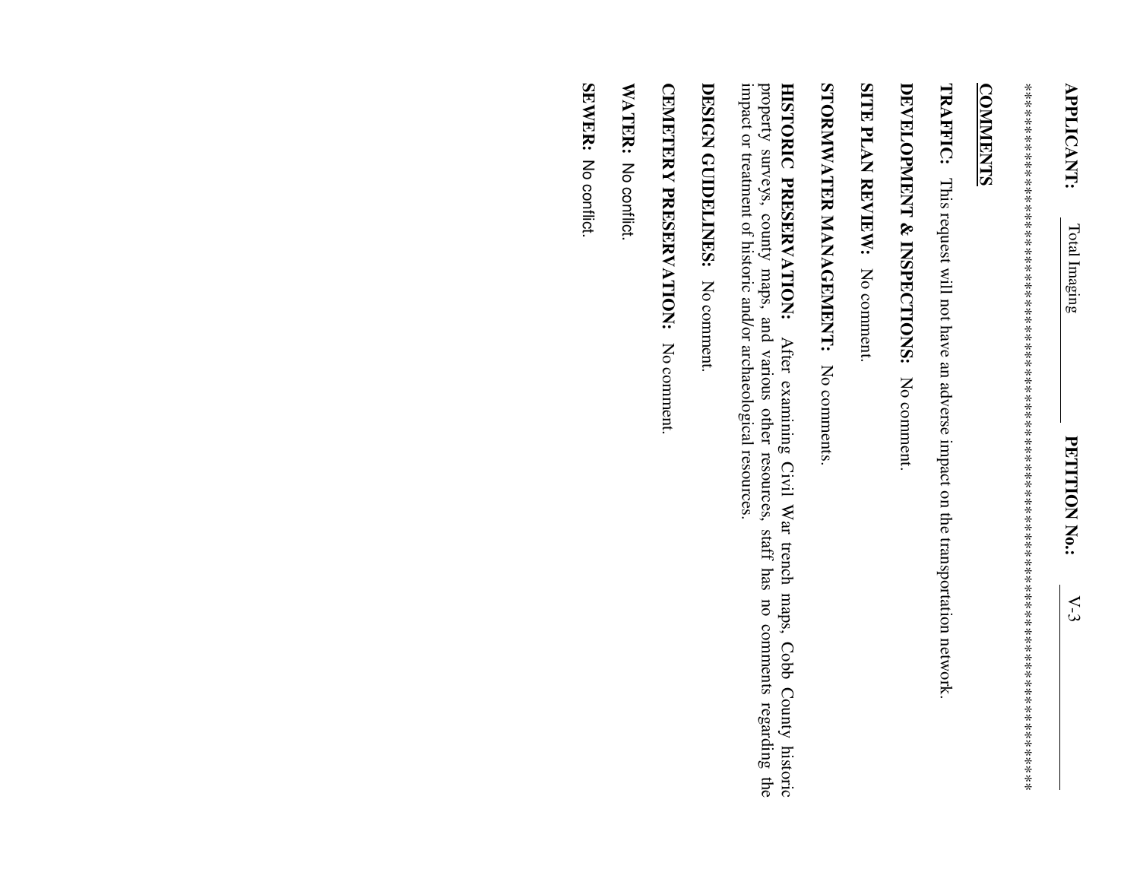\*\*\*\*\*\*\*\*\*\*\*\*\*\*\*\*\*\*\*\*\*\*\*\*\*\*\*\*\*\*\*\*\*\*\*\*\*\*\*\*\*\*\*\*\*\*\*\*\*\*\*\*\*\*\*\*\*\*\*\*\*\*\*\*\*\*\*\*\*\*\*\*\*\*\*\*\*\*\*\*\*\* 

## **COMMENTS COMMENTS**

**TRAFFIC:** This request will not have an adverse impact on the transportation network. This request will not have an adverse impact on the transportation network.

## **DEVELOPMENT & INSPECTIONS:** No comment.

SITE PLAN REVIEW: No comment. **SITE PLAN REVIEW:** No comment.

STORMWATER MANAGEMENT: No comments **STORMWATER MANAGEMENT:** No comments.

impact or treatment of historic and/or archaeological resources. property surveys, county maps, and various other resources, staff has no comments regarding the impact or treatment of historic and/or archaeological resources. property surveys, county maps, and various other resources, staff has no comments regarding the HISTORIC PRESERVATION: **HISTORIC PRESERVATION:** After examining Civil War trench maps, Cobb County historic After examining Civil War trench maps, Cobb County historic

DESIGN GUIDELINES: No comment **DESIGN GUIDELINES:** No comment.

CEMETERY PRESERVATION: No comment. **CEMETERY PRESERVATION:** No comment.

**WATER:** No conflict. No conflict.

SEWER: No conflict. No conflict.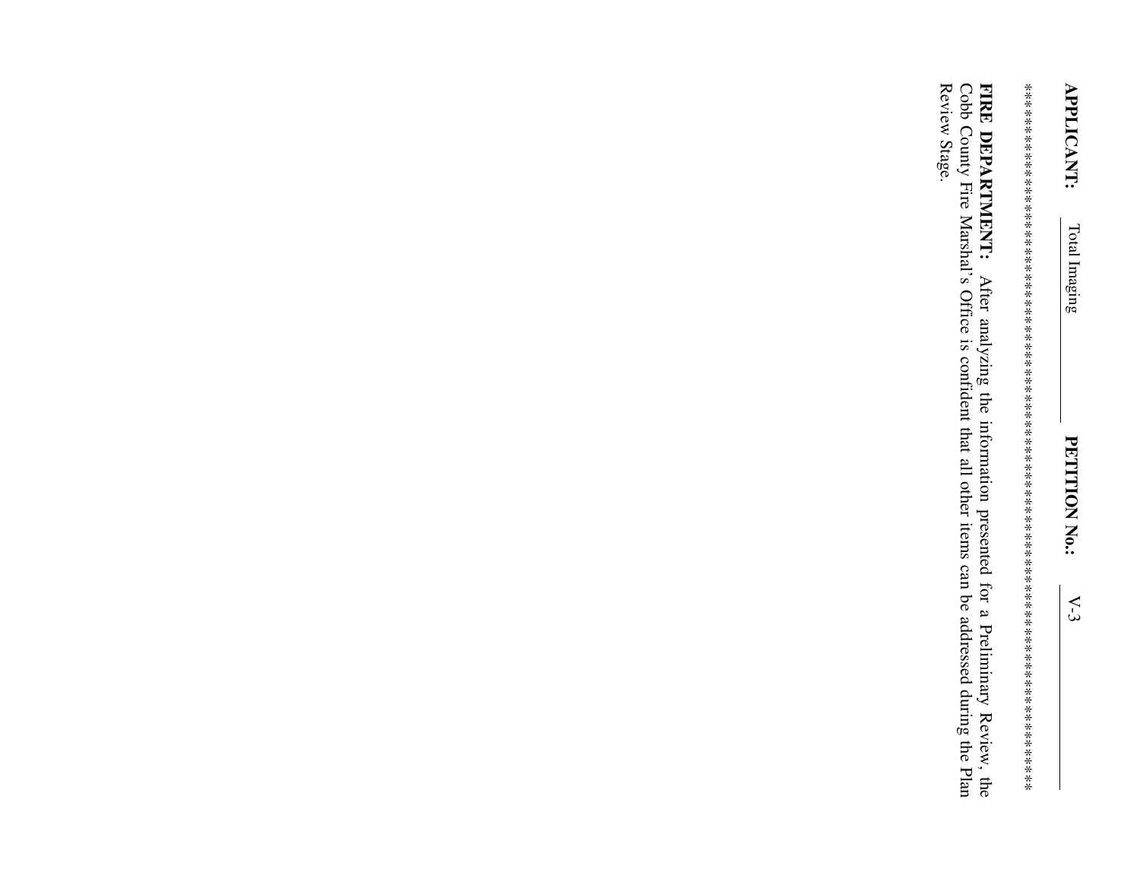Review Stage. FIRE DEPARTMENT: After analyzing the information presented for a Preliminary Review, the Cobb County Fire Marshal's Office is confident that all other items can be addressed during the Plan FIRE DEPARTMENT: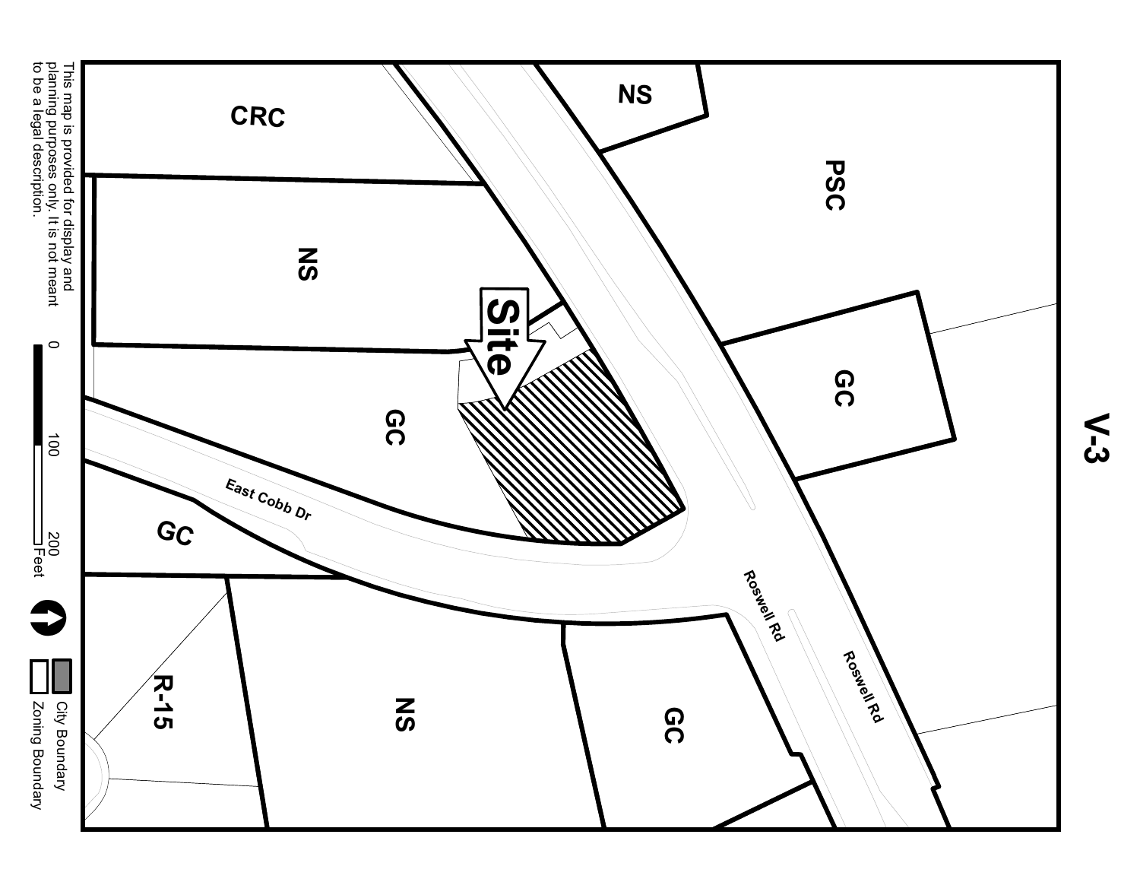

**V-3**